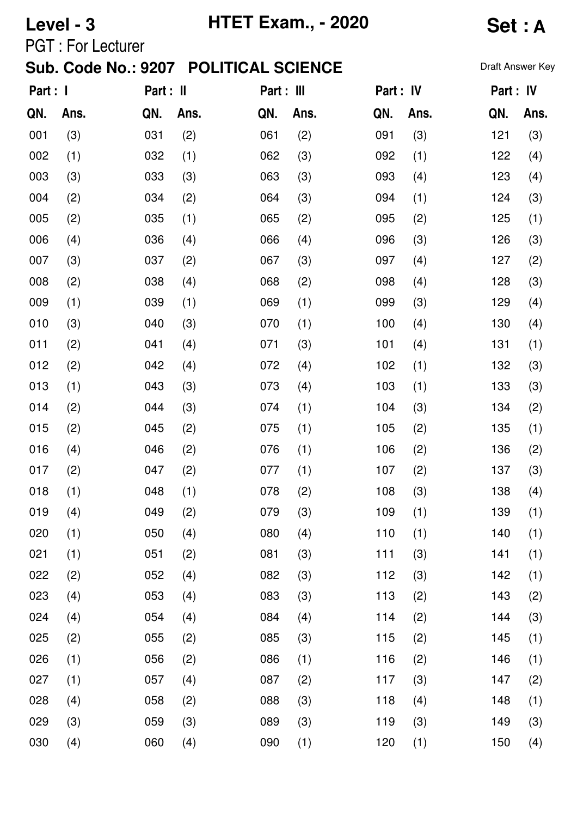| Level - 3                             |                           |     |            | <b>HTET Exam., - 2020</b> | Set : A   |     |           |     |                  |
|---------------------------------------|---------------------------|-----|------------|---------------------------|-----------|-----|-----------|-----|------------------|
|                                       | <b>PGT</b> : For Lecturer |     |            |                           |           |     |           |     |                  |
| Sub. Code No.: 9207 POLITICAL SCIENCE |                           |     |            |                           |           |     |           |     | Draft Answer Key |
| Part : I                              | Part : II                 |     | Part : III |                           | Part : IV |     | Part : IV |     |                  |
| QN.                                   | Ans.                      | QN. | Ans.       | QN.                       | Ans.      | QN. | Ans.      | QN. | Ans.             |
| 001                                   | (3)                       | 031 | (2)        | 061                       | (2)       | 091 | (3)       | 121 | (3)              |
| 002                                   | (1)                       | 032 | (1)        | 062                       | (3)       | 092 | (1)       | 122 | (4)              |
| 003                                   | (3)                       | 033 | (3)        | 063                       | (3)       | 093 | (4)       | 123 | (4)              |
| 004                                   | (2)                       | 034 | (2)        | 064                       | (3)       | 094 | (1)       | 124 | (3)              |
| 005                                   | (2)                       | 035 | (1)        | 065                       | (2)       | 095 | (2)       | 125 | (1)              |
| 006                                   | (4)                       | 036 | (4)        | 066                       | (4)       | 096 | (3)       | 126 | (3)              |
| 007                                   | (3)                       | 037 | (2)        | 067                       | (3)       | 097 | (4)       | 127 | (2)              |
| 008                                   | (2)                       | 038 | (4)        | 068                       | (2)       | 098 | (4)       | 128 | (3)              |
| 009                                   | (1)                       | 039 | (1)        | 069                       | (1)       | 099 | (3)       | 129 | (4)              |
| 010                                   | (3)                       | 040 | (3)        | 070                       | (1)       | 100 | (4)       | 130 | (4)              |
| 011                                   | (2)                       | 041 | (4)        | 071                       | (3)       | 101 | (4)       | 131 | (1)              |
| 012                                   | (2)                       | 042 | (4)        | 072                       | (4)       | 102 | (1)       | 132 | (3)              |
| 013                                   | (1)                       | 043 | (3)        | 073                       | (4)       | 103 | (1)       | 133 | (3)              |
| 014                                   | (2)                       | 044 | (3)        | 074                       | (1)       | 104 | (3)       | 134 | (2)              |
| 015                                   | (2)                       | 045 | (2)        | 075                       | (1)       | 105 | (2)       | 135 | (1)              |
| 016                                   | (4)                       | 046 | (2)        | 076                       | (1)       | 106 | (2)       | 136 | (2)              |
| 017                                   | (2)                       | 047 | (2)        | 077                       | (1)       | 107 | (2)       | 137 | (3)              |
| 018                                   | (1)                       | 048 | (1)        | 078                       | (2)       | 108 | (3)       | 138 | (4)              |
| 019                                   | (4)                       | 049 | (2)        | 079                       | (3)       | 109 | (1)       | 139 | (1)              |
| 020                                   | (1)                       | 050 | (4)        | 080                       | (4)       | 110 | (1)       | 140 | (1)              |
| 021                                   | (1)                       | 051 | (2)        | 081                       | (3)       | 111 | (3)       | 141 | (1)              |
| 022                                   | (2)                       | 052 | (4)        | 082                       | (3)       | 112 | (3)       | 142 | (1)              |
| 023                                   | (4)                       | 053 | (4)        | 083                       | (3)       | 113 | (2)       | 143 | (2)              |
| 024                                   | (4)                       | 054 | (4)        | 084                       | (4)       | 114 | (2)       | 144 | (3)              |
| 025                                   | (2)                       | 055 | (2)        | 085                       | (3)       | 115 | (2)       | 145 | (1)              |
| 026                                   | (1)                       | 056 | (2)        | 086                       | (1)       | 116 | (2)       | 146 | (1)              |
| 027                                   | (1)                       | 057 | (4)        | 087                       | (2)       | 117 | (3)       | 147 | (2)              |
| 028                                   | (4)                       | 058 | (2)        | 088                       | (3)       | 118 | (4)       | 148 | (1)              |
| 029                                   | (3)                       | 059 | (3)        | 089                       | (3)       | 119 | (3)       | 149 | (3)              |
| 030                                   | (4)                       | 060 | (4)        | 090                       | (1)       | 120 | (1)       | 150 | (4)              |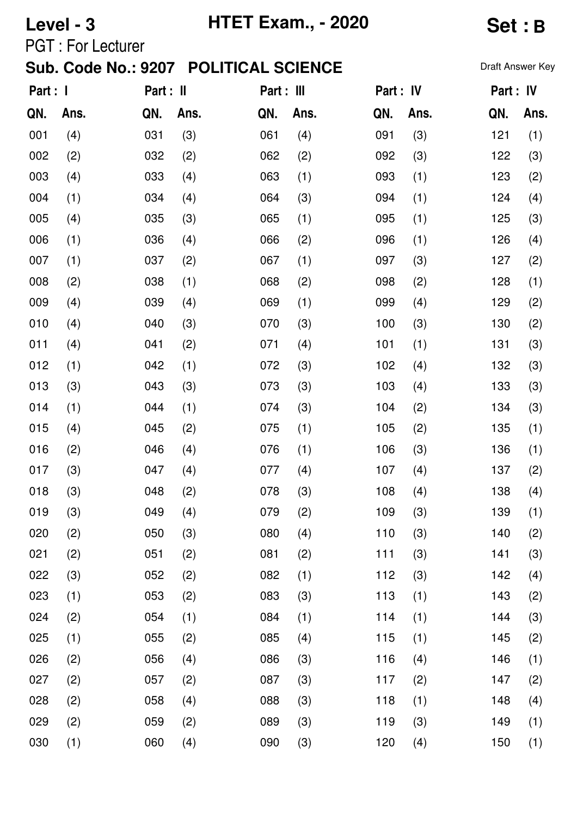| Level - 3 |                            |           |      | <b>HTET Exam., - 2020</b> | <b>Set:B</b> |           |      |                  |      |
|-----------|----------------------------|-----------|------|---------------------------|--------------|-----------|------|------------------|------|
|           | <b>PGT: For Lecturer</b>   |           |      |                           |              |           |      |                  |      |
|           | <b>Sub. Code No.: 9207</b> |           |      | <b>POLITICAL SCIENCE</b>  |              |           |      | Draft Answer Key |      |
| Part : I  |                            | Part : II |      | Part : III                |              | Part : IV |      | Part : IV        |      |
| QN.       | Ans.                       | QN.       | Ans. | QN.                       | Ans.         | QN.       | Ans. | QN.              | Ans. |
| 001       | (4)                        | 031       | (3)  | 061                       | (4)          | 091       | (3)  | 121              | (1)  |
| 002       | (2)                        | 032       | (2)  | 062                       | (2)          | 092       | (3)  | 122              | (3)  |
| 003       | (4)                        | 033       | (4)  | 063                       | (1)          | 093       | (1)  | 123              | (2)  |
| 004       | (1)                        | 034       | (4)  | 064                       | (3)          | 094       | (1)  | 124              | (4)  |
| 005       | (4)                        | 035       | (3)  | 065                       | (1)          | 095       | (1)  | 125              | (3)  |
| 006       | (1)                        | 036       | (4)  | 066                       | (2)          | 096       | (1)  | 126              | (4)  |
| 007       | (1)                        | 037       | (2)  | 067                       | (1)          | 097       | (3)  | 127              | (2)  |
| 008       | (2)                        | 038       | (1)  | 068                       | (2)          | 098       | (2)  | 128              | (1)  |
| 009       | (4)                        | 039       | (4)  | 069                       | (1)          | 099       | (4)  | 129              | (2)  |
| 010       | (4)                        | 040       | (3)  | 070                       | (3)          | 100       | (3)  | 130              | (2)  |
| 011       | (4)                        | 041       | (2)  | 071                       | (4)          | 101       | (1)  | 131              | (3)  |
| 012       | (1)                        | 042       | (1)  | 072                       | (3)          | 102       | (4)  | 132              | (3)  |
| 013       | (3)                        | 043       | (3)  | 073                       | (3)          | 103       | (4)  | 133              | (3)  |
| 014       | (1)                        | 044       | (1)  | 074                       | (3)          | 104       | (2)  | 134              | (3)  |
| 015       | (4)                        | 045       | (2)  | 075                       | (1)          | 105       | (2)  | 135              | (1)  |
| 016       | (2)                        | 046       | (4)  | 076                       | (1)          | 106       | (3)  | 136              | (1)  |
| 017       | (3)                        | 047       | (4)  | 077                       | (4)          | 107       | (4)  | 137              | (2)  |
| 018       | (3)                        | 048       | (2)  | 078                       | (3)          | 108       | (4)  | 138              | (4)  |
| 019       | (3)                        | 049       | (4)  | 079                       | (2)          | 109       | (3)  | 139              | (1)  |
| 020       | (2)                        | 050       | (3)  | 080                       | (4)          | 110       | (3)  | 140              | (2)  |
| 021       | (2)                        | 051       | (2)  | 081                       | (2)          | 111       | (3)  | 141              | (3)  |
| 022       | (3)                        | 052       | (2)  | 082                       | (1)          | 112       | (3)  | 142              | (4)  |
| 023       | (1)                        | 053       | (2)  | 083                       | (3)          | 113       | (1)  | 143              | (2)  |
| 024       | (2)                        | 054       | (1)  | 084                       | (1)          | 114       | (1)  | 144              | (3)  |
| 025       | (1)                        | 055       | (2)  | 085                       | (4)          | 115       | (1)  | 145              | (2)  |
| 026       | (2)                        | 056       | (4)  | 086                       | (3)          | 116       | (4)  | 146              | (1)  |
| 027       | (2)                        | 057       | (2)  | 087                       | (3)          | 117       | (2)  | 147              | (2)  |
| 028       | (2)                        | 058       | (4)  | 088                       | (3)          | 118       | (1)  | 148              | (4)  |
| 029       | (2)                        | 059       | (2)  | 089                       | (3)          | 119       | (3)  | 149              | (1)  |
| 030       | (1)                        | 060       | (4)  | 090                       | (3)          | 120       | (4)  | 150              | (1)  |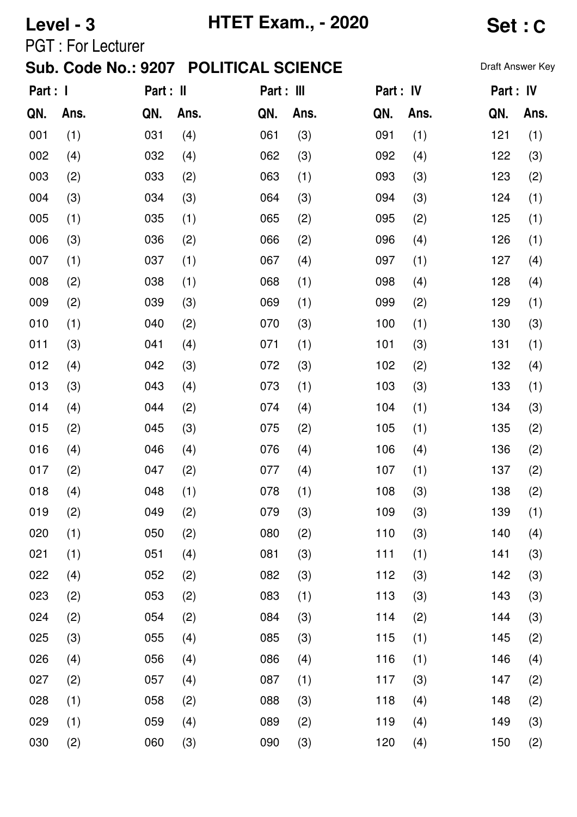| Level - 3 |                           |     |           | <b>HTET Exam., - 2020</b>             | <b>Set:C</b> |     |           |           |                  |
|-----------|---------------------------|-----|-----------|---------------------------------------|--------------|-----|-----------|-----------|------------------|
|           | <b>PGT</b> : For Lecturer |     |           | Sub. Code No.: 9207 POLITICAL SCIENCE |              |     |           |           | Draft Answer Key |
| Part : I  |                           |     | Part : II |                                       | Part : III   |     | Part : IV | Part : IV |                  |
| QN.       | Ans.                      | QN. | Ans.      | QN.                                   | Ans.         | QN. | Ans.      | QN.       | Ans.             |
| 001       | (1)                       | 031 | (4)       | 061                                   | (3)          | 091 | (1)       | 121       | (1)              |
| 002       | (4)                       | 032 | (4)       | 062                                   | (3)          | 092 | (4)       | 122       | (3)              |
| 003       | (2)                       | 033 | (2)       | 063                                   | (1)          | 093 | (3)       | 123       | (2)              |
| 004       | (3)                       | 034 | (3)       | 064                                   | (3)          | 094 | (3)       | 124       | (1)              |
| 005       | (1)                       | 035 | (1)       | 065                                   | (2)          | 095 | (2)       | 125       | (1)              |
| 006       | (3)                       | 036 | (2)       | 066                                   | (2)          | 096 | (4)       | 126       | (1)              |
| 007       | (1)                       | 037 | (1)       | 067                                   | (4)          | 097 | (1)       | 127       | (4)              |
| 008       | (2)                       | 038 | (1)       | 068                                   | (1)          | 098 | (4)       | 128       | (4)              |
| 009       | (2)                       | 039 | (3)       | 069                                   | (1)          | 099 | (2)       | 129       | (1)              |
| 010       | (1)                       | 040 | (2)       | 070                                   | (3)          | 100 | (1)       | 130       | (3)              |
| 011       | (3)                       | 041 | (4)       | 071                                   | (1)          | 101 | (3)       | 131       | (1)              |
| 012       | (4)                       | 042 | (3)       | 072                                   | (3)          | 102 | (2)       | 132       | (4)              |
| 013       | (3)                       | 043 | (4)       | 073                                   | (1)          | 103 | (3)       | 133       | (1)              |
| 014       | (4)                       | 044 | (2)       | 074                                   | (4)          | 104 | (1)       | 134       | (3)              |
| 015       | (2)                       | 045 | (3)       | 075                                   | (2)          | 105 | (1)       | 135       | (2)              |
| 016       | (4)                       | 046 | (4)       | 076                                   | (4)          | 106 | (4)       | 136       | (2)              |
| 017       | (2)                       | 047 | (2)       | 077                                   | (4)          | 107 | (1)       | 137       | (2)              |
| 018       | (4)                       | 048 | (1)       | 078                                   | (1)          | 108 | (3)       | 138       | (2)              |
| 019       | (2)                       | 049 | (2)       | 079                                   | (3)          | 109 | (3)       | 139       | (1)              |
| 020       | (1)                       | 050 | (2)       | 080                                   | (2)          | 110 | (3)       | 140       | (4)              |
| 021       | (1)                       | 051 | (4)       | 081                                   | (3)          | 111 | (1)       | 141       | (3)              |
| 022       | (4)                       | 052 | (2)       | 082                                   | (3)          | 112 | (3)       | 142       | (3)              |
| 023       | (2)                       | 053 | (2)       | 083                                   | (1)          | 113 | (3)       | 143       | (3)              |
| 024       | (2)                       | 054 | (2)       | 084                                   | (3)          | 114 | (2)       | 144       | (3)              |
| 025       | (3)                       | 055 | (4)       | 085                                   | (3)          | 115 | (1)       | 145       | (2)              |
| 026       | (4)                       | 056 | (4)       | 086                                   | (4)          | 116 | (1)       | 146       | (4)              |
| 027       | (2)                       | 057 | (4)       | 087                                   | (1)          | 117 | (3)       | 147       | (2)              |
| 028       | (1)                       | 058 | (2)       | 088                                   | (3)          | 118 | (4)       | 148       | (2)              |
| 029       | (1)                       | 059 | (4)       | 089                                   | (2)          | 119 | (4)       | 149       | (3)              |
| 030       | (2)                       | 060 | (3)       | 090                                   | (3)          | 120 | (4)       | 150       | (2)              |